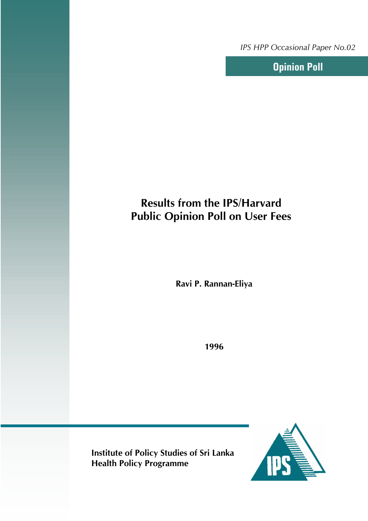*IPS HPP Occasional Paper No.02*

**Opinion Poll**

# **Results from the IPS/Harvard Public Opinion Poll on User Fees**

**Ravi P. Rannan-Eliya**

**1996**

**Institute of Policy Studies of Sri Lanka Health Policy Programme**

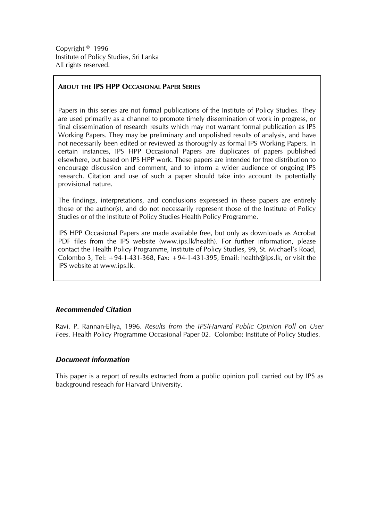Copyright © 1996 Institute of Policy Studies, Sri Lanka All rights reserved.

## **ABOUT THE IPS HPP OCCASIONAL PAPER SERIES**

Papers in this series are not formal publications of the Institute of Policy Studies. They are used primarily as a channel to promote timely dissemination of work in progress, or final dissemination of research results which may not warrant formal publication as IPS Working Papers. They may be preliminary and unpolished results of analysis, and have not necessarily been edited or reviewed as thoroughly as formal IPS Working Papers. In certain instances, IPS HPP Occasional Papers are duplicates of papers published elsewhere, but based on IPS HPP work. These papers are intended for free distribution to encourage discussion and comment, and to inform a wider audience of ongoing IPS research. Citation and use of such a paper should take into account its potentially provisional nature.

The findings, interpretations, and conclusions expressed in these papers are entirely those of the author(s), and do not necessarily represent those of the Institute of Policy Studies or of the Institute of Policy Studies Health Policy Programme.

IPS HPP Occasional Papers are made available free, but only as downloads as Acrobat PDF files from the IPS website (www.ips.lk/health). For further information, please contact the Health Policy Programme, Institute of Policy Studies, 99, St. Michael's Road, Colombo 3, Tel:  $+94-1-431-368$ , Fax:  $+94-1-431-395$ , Email: health@ips.lk, or visit the IPS website at www.ips.lk.

## *Recommended Citation*

Ravi. P. Rannan-Eliya, 1996. *Results from the IPS/Harvard Public Opinion Poll on User Fees.* Health Policy Programme Occasional Paper 02. Colombo: Institute of Policy Studies.

## *Document information*

This paper is a report of results extracted from a public opinion poll carried out by IPS as background reseach for Harvard University.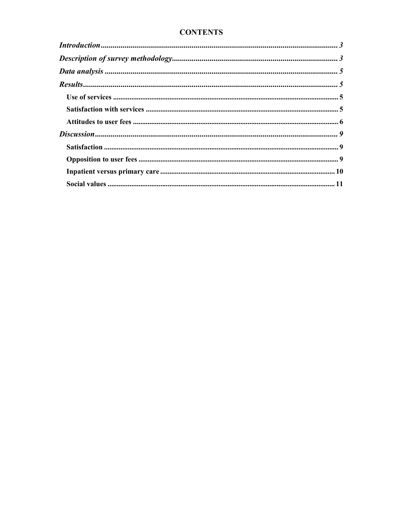## **CONTENTS**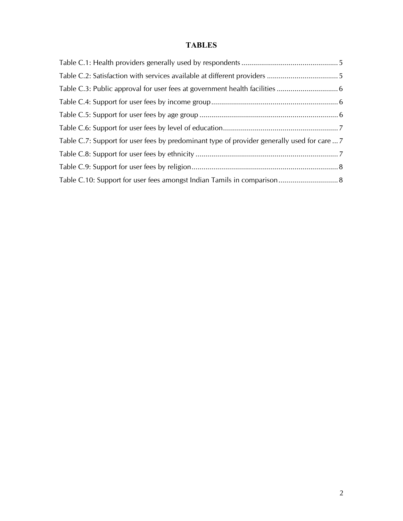## **TABLES**

| Table C.7: Support for user fees by predominant type of provider generally used for care  7 |  |
|---------------------------------------------------------------------------------------------|--|
|                                                                                             |  |
|                                                                                             |  |
|                                                                                             |  |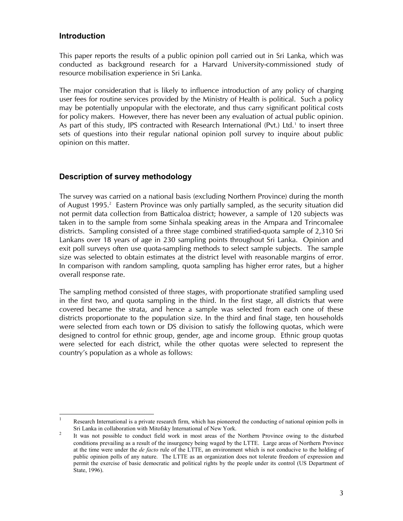## **Introduction**

This paper reports the results of a public opinion poll carried out in Sri Lanka, which was conducted as background research for a Harvard University-commissioned study of resource mobilisation experience in Sri Lanka.

The major consideration that is likely to influence introduction of any policy of charging user fees for routine services provided by the Ministry of Health is political. Such a policy may be potentially unpopular with the electorate, and thus carry significant political costs for policy makers. However, there has never been any evaluation of actual public opinion. As part of this study, IPS contracted with Research International (Pvt.) Ltd.1 to insert three sets of questions into their regular national opinion poll survey to inquire about public opinion on this matter.

## **Description of survey methodology**

The survey was carried on a national basis (excluding Northern Province) during the month of August 1995.<sup>2</sup> Eastern Province was only partially sampled, as the security situation did not permit data collection from Batticaloa district; however, a sample of 120 subjects was taken in to the sample from some Sinhala speaking areas in the Ampara and Trincomalee districts. Sampling consisted of a three stage combined stratified-quota sample of 2,310 Sri Lankans over 18 years of age in 230 sampling points throughout Sri Lanka. Opinion and exit poll surveys often use quota-sampling methods to select sample subjects. The sample size was selected to obtain estimates at the district level with reasonable margins of error. In comparison with random sampling, quota sampling has higher error rates, but a higher overall response rate.

The sampling method consisted of three stages, with proportionate stratified sampling used in the first two, and quota sampling in the third. In the first stage, all districts that were covered became the strata, and hence a sample was selected from each one of these districts proportionate to the population size. In the third and final stage, ten households were selected from each town or DS division to satisfy the following quotas, which were designed to control for ethnic group, gender, age and income group. Ethnic group quotas were selected for each district, while the other quotas were selected to represent the country's population as a whole as follows:

 $\frac{1}{1}$  Research International is a private research firm, which has pioneered the conducting of national opinion polls in Sri Lanka in collaboration with Mitofsky International of New York.<br><sup>2</sup>

It was not possible to conduct field work in most areas of the Northern Province owing to the disturbed conditions prevailing as a result of the insurgency being waged by the LTTE. Large areas of Northern Province at the time were under the *de facto* rule of the LTTE, an environment which is not conducive to the holding of public opinion polls of any nature. The LTTE as an organization does not tolerate freedom of expression and permit the exercise of basic democratic and political rights by the people under its control (US Department of State, 1996).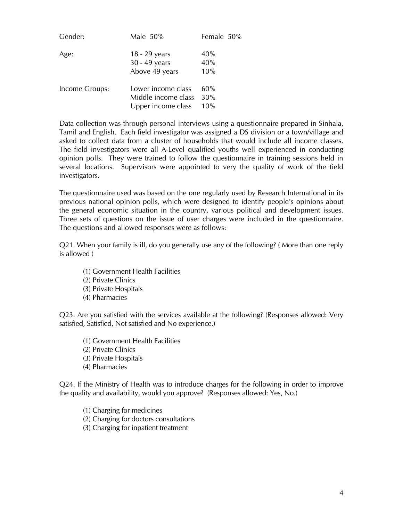| Gender:        | Male 50%                                                        | Female 50%        |
|----------------|-----------------------------------------------------------------|-------------------|
| Age:           | 18 - 29 years<br>30 - 49 years<br>Above 49 years                | 40%<br>40%<br>10% |
| Income Groups: | Lower income class<br>Middle income class<br>Upper income class | 60%<br>30%<br>10% |

Data collection was through personal interviews using a questionnaire prepared in Sinhala, Tamil and English. Each field investigator was assigned a DS division or a town/village and asked to collect data from a cluster of households that would include all income classes. The field investigators were all A-Level qualified youths well experienced in conducting opinion polls. They were trained to follow the questionnaire in training sessions held in several locations. Supervisors were appointed to very the quality of work of the field investigators.

The questionnaire used was based on the one regularly used by Research International in its previous national opinion polls, which were designed to identify people's opinions about the general economic situation in the country, various political and development issues. Three sets of questions on the issue of user charges were included in the questionnaire. The questions and allowed responses were as follows:

Q21. When your family is ill, do you generally use any of the following? ( More than one reply is allowed )

- (1) Government Health Facilities
- (2) Private Clinics
- (3) Private Hospitals
- (4) Pharmacies

Q23. Are you satisfied with the services available at the following? (Responses allowed: Very satisfied, Satisfied, Not satisfied and No experience.)

- (1) Government Health Facilities
- (2) Private Clinics
- (3) Private Hospitals
- (4) Pharmacies

Q24. If the Ministry of Health was to introduce charges for the following in order to improve the quality and availability, would you approve? (Responses allowed: Yes, No.)

- (1) Charging for medicines
- (2) Charging for doctors consultations
- (3) Charging for inpatient treatment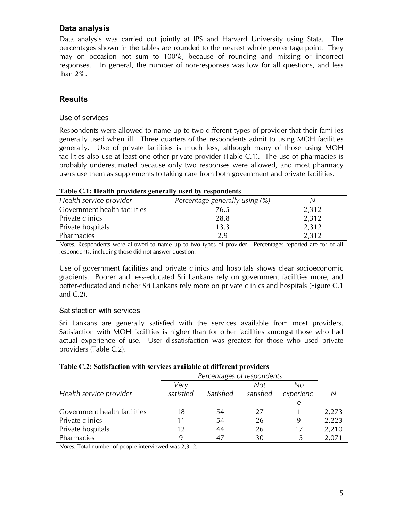## **Data analysis**

Data analysis was carried out jointly at IPS and Harvard University using Stata. The percentages shown in the tables are rounded to the nearest whole percentage point. They may on occasion not sum to 100%, because of rounding and missing or incorrect responses. In general, the number of non-responses was low for all questions, and less than 2%.

## **Results**

## Use of services

Respondents were allowed to name up to two different types of provider that their families generally used when ill. Three quarters of the respondents admit to using MOH facilities generally. Use of private facilities is much less, although many of those using MOH facilities also use at least one other private provider (Table C.1). The use of pharmacies is probably underestimated because only two responses were allowed, and most pharmacy users use them as supplements to taking care from both government and private facilities.

| Health service provider      | Percentage generally using (%) | N     |
|------------------------------|--------------------------------|-------|
| Government health facilities | 76.5                           | 2,312 |
| Private clinics              | 28.8                           | 2,312 |
| Private hospitals            | 13.3                           | 2,312 |
| Pharmacies                   | 2.9                            | 2,312 |

#### **Table C.1: Health providers generally used by respondents**

*Notes:* Respondents were allowed to name up to two types of provider. Percentages reported are for of all respondents, including those did not answer question.

Use of government facilities and private clinics and hospitals shows clear socioeconomic gradients. Poorer and less-educated Sri Lankans rely on government facilities more, and better-educated and richer Sri Lankans rely more on private clinics and hospitals (Figure C.1 and C.2).

## Satisfaction with services

Sri Lankans are generally satisfied with the services available from most providers. Satisfaction with MOH facilities is higher than for other facilities amongst those who had actual experience of use. User dissatisfaction was greatest for those who used private providers (Table C.2).

| Table C.2: Satisfaction with services available at different providers |                            |           |           |           |       |  |
|------------------------------------------------------------------------|----------------------------|-----------|-----------|-----------|-------|--|
|                                                                        | Percentages of respondents |           |           |           |       |  |
|                                                                        | Very                       |           | Not.      | No        |       |  |
| Health service provider                                                | satisfied                  | Satisfied | satisfied | experienc | N     |  |
|                                                                        |                            |           |           | e         |       |  |
| Government health facilities                                           | 18                         | 54        | 27        |           | 2,273 |  |
| Private clinics                                                        | 11                         | 54        | 26        | 9         | 2,223 |  |
| Private hospitals                                                      | 12                         | 44        | 26        | 17        | 2,210 |  |
| Pharmacies                                                             |                            | 47        | 30        | 15        | 2,071 |  |

## **Table C.2: Satisfaction with services available at different providers**

*Notes:* Total number of people interviewed was 2,312.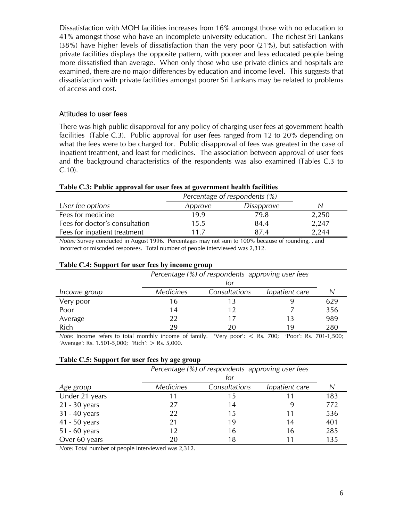Dissatisfaction with MOH facilities increases from 16% amongst those with no education to 41% amongst those who have an incomplete university education. The richest Sri Lankans (38%) have higher levels of dissatisfaction than the very poor (21%), but satisfaction with private facilities displays the opposite pattern, with poorer and less educated people being more dissatisfied than average. When only those who use private clinics and hospitals are examined, there are no major differences by education and income level. This suggests that dissatisfaction with private facilities amongst poorer Sri Lankans may be related to problems of access and cost.

#### Attitudes to user fees

There was high public disapproval for any policy of charging user fees at government health facilities (Table C.3). Public approval for user fees ranged from 12 to 20% depending on what the fees were to be charged for. Public disapproval of fees was greatest in the case of inpatient treatment, and least for medicines. The association between approval of user fees and the background characteristics of the respondents was also examined (Tables C.3 to C.10).

|                                | Percentage of respondents (%) |            |       |
|--------------------------------|-------------------------------|------------|-------|
| User fee options               | Approve                       | Disapprove | N     |
| Fees for medicine              | 19.9                          | 79.8       | 2,250 |
| Fees for doctor's consultation | 15.5                          | 84.4       | 2,247 |
| Fees for inpatient treatment   | 117                           | 87.4       | 2,244 |

#### **Table C.3: Public approval for user fees at government health facilities**

*Notes:* Survey conducted in August 1996. Percentages may not sum to 100% because of rounding, , and incorrect or miscoded responses. Total number of people interviewed was 2,312.

#### **Table C.4: Support for user fees by income group**

|              | Percentage (%) of respondents approving user fees<br>for |               |                |     |
|--------------|----------------------------------------------------------|---------------|----------------|-----|
| Income group | Medicines                                                | Consultations | Inpatient care |     |
| Very poor    | 16                                                       |               |                | 629 |
| Poor         | 14                                                       |               |                | 356 |
| Average      | 22                                                       |               | 13             | 989 |
| Rich         | 29                                                       |               | 19             | 280 |

*Note:* Income refers to total monthly income of family. 'Very poor': < Rs. 700; 'Poor': Rs. 701-1,500; 'Average': Rs. 1.501-5,000; 'Rich': > Rs. 5,000.

#### **Table C.5: Support for user fees by age group**

|                 | Percentage (%) of respondents approving user fees |               |                |     |
|-----------------|---------------------------------------------------|---------------|----------------|-----|
|                 |                                                   | for           |                |     |
| Age group       | <b>Medicines</b>                                  | Consultations | Inpatient care |     |
| Under 21 years  | 11                                                | 15            |                | 183 |
| $21 - 30$ years | 27                                                | 14            | 9              | 772 |
| 31 - 40 years   | 22                                                | 15            | 11             | 536 |
| 41 - 50 years   | 21                                                | 19            | 14             | 401 |
| 51 - 60 years   | 12                                                | 16            | 16             | 285 |
| Over 60 years   | 20                                                | 18            | 11             | 135 |

*Note:* Total number of people interviewed was 2,312.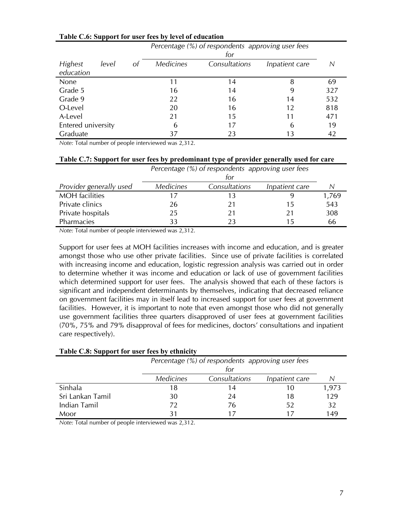|                             |       |    | Percentage (%) of respondents approving user fees |               |                |     |
|-----------------------------|-------|----|---------------------------------------------------|---------------|----------------|-----|
|                             |       |    |                                                   | for           |                |     |
| <b>Highest</b><br>education | level | Ωt | <i>Medicines</i>                                  | Consultations | Inpatient care |     |
| None                        |       |    | 11                                                | 14            | 8              | 69  |
| Grade 5                     |       |    | 16                                                | 14            | 9              | 327 |
| Grade 9                     |       |    | 22                                                | 16            | 14             | 532 |
| O-Level                     |       |    | 20                                                | 16            | 12             | 818 |
| A-Level                     |       |    | 21                                                | 15            | 11             | 471 |
| Entered university          |       |    | 6                                                 | 17            | 6              | 19  |
| Graduate                    |       |    | 37                                                | 23            | 13             | 42  |

#### **Table C.6: Support for user fees by level of education**

*Note:* Total number of people interviewed was 2,312.

| Table C.7: Support for user fees by predominant type of provider generally used for care |
|------------------------------------------------------------------------------------------|
|------------------------------------------------------------------------------------------|

|                         |                  | Percentage (%) of respondents approving user fees |                |       |  |
|-------------------------|------------------|---------------------------------------------------|----------------|-------|--|
|                         |                  | tor                                               |                |       |  |
| Provider generally used | <b>Medicines</b> | Consultations                                     | Inpatient care |       |  |
| <b>MOH</b> facilities   | 17               |                                                   | ч              | 1,769 |  |
| Private clinics         | 26               |                                                   | 15             | 543   |  |
| Private hospitals       | 25               |                                                   | 21             | 308   |  |
| Pharmacies              | 33               |                                                   | 15             | 66    |  |

*Note:* Total number of people interviewed was 2,312.

Support for user fees at MOH facilities increases with income and education, and is greater amongst those who use other private facilities. Since use of private facilities is correlated with increasing income and education, logistic regression analysis was carried out in order to determine whether it was income and education or lack of use of government facilities which determined support for user fees. The analysis showed that each of these factors is significant and independent determinants by themselves, indicating that decreased reliance on government facilities may in itself lead to increased support for user fees at government facilities. However, it is important to note that even amongst those who did not generally use government facilities three quarters disapproved of user fees at government facilities (70%, 75% and 79% disapproval of fees for medicines, doctors' consultations and inpatient care respectively).

#### **Table C.8: Support for user fees by ethnicity**

|                  | Percentage (%) of respondents approving user fees<br>for |               |                |       |
|------------------|----------------------------------------------------------|---------------|----------------|-------|
|                  | <b>Medicines</b>                                         | Consultations | Inpatient care |       |
| Sinhala          | 18                                                       | 14            | 10             | 1,973 |
| Sri Lankan Tamil | 30                                                       | 24            | 18             | 129   |
| Indian Tamil     | 72                                                       | 76            | 52             | 32    |
| Moor             |                                                          |               |                | 149   |

*Note:* Total number of people interviewed was 2,312.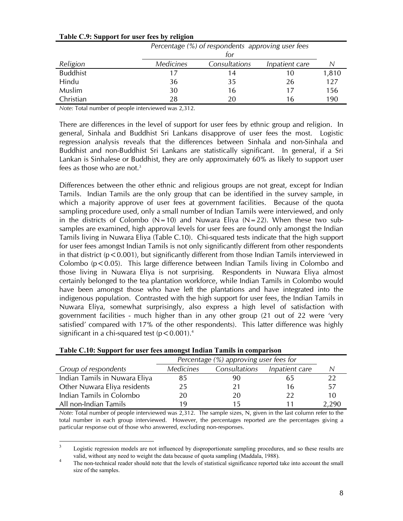|                 |                  | $\overline{\phantom{a}}$<br>Percentage (%) of respondents approving user fees<br>for |                |       |  |
|-----------------|------------------|--------------------------------------------------------------------------------------|----------------|-------|--|
| Religion        | <b>Medicines</b> | Consultations                                                                        | Inpatient care | N     |  |
| <b>Buddhist</b> | 17               | 14                                                                                   | 10             | 1,810 |  |
| Hindu           | 36               | 35                                                                                   | 26             | 127   |  |
| Muslim          | 30               | 16                                                                                   | 17             | 156   |  |
| Christian       | 28               | 2Ο                                                                                   | 16             | 190   |  |

#### **Table C.9: Support for user fees by religion**

*Note:* Total number of people interviewed was 2,312.

There are differences in the level of support for user fees by ethnic group and religion. In general, Sinhala and Buddhist Sri Lankans disapprove of user fees the most. Logistic regression analysis reveals that the differences between Sinhala and non-Sinhala and Buddhist and non-Buddhist Sri Lankans are statistically significant. In general, if a Sri Lankan is Sinhalese or Buddhist, they are only approximately 60% as likely to support user fees as those who are not.<sup>3</sup>

Differences between the other ethnic and religious groups are not great, except for Indian Tamils. Indian Tamils are the only group that can be identified in the survey sample, in which a majority approve of user fees at government facilities. Because of the quota sampling procedure used, only a small number of Indian Tamils were interviewed, and only in the districts of Colombo ( $N=10$ ) and Nuwara Eliya ( $N=22$ ). When these two subsamples are examined, high approval levels for user fees are found only amongst the Indian Tamils living in Nuwara Eliya (Table C.10). Chi-squared tests indicate that the high support for user fees amongst Indian Tamils is not only significantly different from other respondents in that district ( $p < 0.001$ ), but significantly different from those Indian Tamils interviewed in Colombo  $(p<0.05)$ . This large difference between Indian Tamils living in Colombo and those living in Nuwara Eliya is not surprising. Respondents in Nuwara Eliya almost certainly belonged to the tea plantation workforce, while Indian Tamils in Colombo would have been amongst those who have left the plantations and have integrated into the indigenous population. Contrasted with the high support for user fees, the Indian Tamils in Nuwara Eliya, somewhat surprisingly, also express a high level of satisfaction with government facilities - much higher than in any other group (21 out of 22 were 'very satisfied' compared with 17% of the other respondents). This latter difference was highly significant in a chi-squared test  $(p < 0.001).4$ 

| Twee circ, explore for now reception the manual running in comparison |                                        |               |                |       |  |  |  |
|-----------------------------------------------------------------------|----------------------------------------|---------------|----------------|-------|--|--|--|
|                                                                       | Percentage (%) approving user fees for |               |                |       |  |  |  |
| Group of respondents                                                  | <b>Medicines</b>                       | Consultations | Inpatient care |       |  |  |  |
| Indian Tamils in Nuwara Eliya                                         | 85                                     | 90            | 65             |       |  |  |  |
| Other Nuwara Eliya residents                                          | 25                                     | 21            | 16             | 57    |  |  |  |
| Indian Tamils in Colombo                                              | 20                                     | 20            | 22             | 10    |  |  |  |
| All non-Indian Tamils                                                 | 1 Q                                    | 15            |                | 2,290 |  |  |  |

|  | Table C.10: Support for user fees amongst Indian Tamils in comparison |  |  |
|--|-----------------------------------------------------------------------|--|--|
|  |                                                                       |  |  |

*Note:* Total number of people interviewed was 2,312. The sample sizes, N, given in the last column refer to the total number in each group interviewed. However, the percentages reported are the percentages giving a particular response out of those who answered, excluding non-responses.

<sup>&</sup>lt;sup>2</sup><br>3 Logistic regression models are not influenced by disproportionate sampling procedures, and so these results are valid, without any need to weight the data because of quota sampling (Maddala, 1988).

The non-technical reader should note that the levels of statistical significance reported take into account the small size of the samples.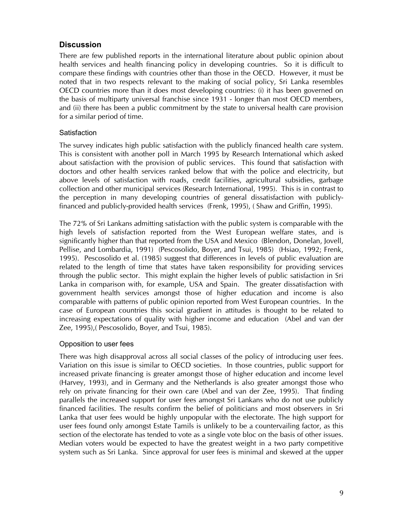## **Discussion**

There are few published reports in the international literature about public opinion about health services and health financing policy in developing countries. So it is difficult to compare these findings with countries other than those in the OECD. However, it must be noted that in two respects relevant to the making of social policy, Sri Lanka resembles OECD countries more than it does most developing countries: (i) it has been governed on the basis of multiparty universal franchise since 1931 - longer than most OECD members, and (ii) there has been a public commitment by the state to universal health care provision for a similar period of time.

## **Satisfaction**

The survey indicates high public satisfaction with the publicly financed health care system. This is consistent with another poll in March 1995 by Research International which asked about satisfaction with the provision of public services. This found that satisfaction with doctors and other health services ranked below that with the police and electricity, but above levels of satisfaction with roads, credit facilities, agricultural subsidies, garbage collection and other municipal services (Research International, 1995). This is in contrast to the perception in many developing countries of general dissatisfaction with publiclyfinanced and publicly-provided health services (Frenk, 1995), ( Shaw and Griffin, 1995).

The 72% of Sri Lankans admitting satisfaction with the public system is comparable with the high levels of satisfaction reported from the West European welfare states, and is significantly higher than that reported from the USA and Mexico (Blendon, Donelan, Jovell, Pellise, and Lombardia, 1991) (Pescosolido, Boyer, and Tsui, 1985) (Hsiao, 1992; Frenk, 1995). Pescosolido et al. (1985) suggest that differences in levels of public evaluation are related to the length of time that states have taken responsibility for providing services through the public sector. This might explain the higher levels of public satisfaction in Sri Lanka in comparison with, for example, USA and Spain. The greater dissatisfaction with government health services amongst those of higher education and income is also comparable with patterns of public opinion reported from West European countries. In the case of European countries this social gradient in attitudes is thought to be related to increasing expectations of quality with higher income and education (Abel and van der Zee, 1995),( Pescosolido, Boyer, and Tsui, 1985).

## Opposition to user fees

There was high disapproval across all social classes of the policy of introducing user fees. Variation on this issue is similar to OECD societies. In those countries, public support for increased private financing is greater amongst those of higher education and income level (Harvey, 1993), and in Germany and the Netherlands is also greater amongst those who rely on private financing for their own care (Abel and van der Zee, 1995). That finding parallels the increased support for user fees amongst Sri Lankans who do not use publicly financed facilities. The results confirm the belief of politicians and most observers in Sri Lanka that user fees would be highly unpopular with the electorate. The high support for user fees found only amongst Estate Tamils is unlikely to be a countervailing factor, as this section of the electorate has tended to vote as a single vote bloc on the basis of other issues. Median voters would be expected to have the greatest weight in a two party competitive system such as Sri Lanka. Since approval for user fees is minimal and skewed at the upper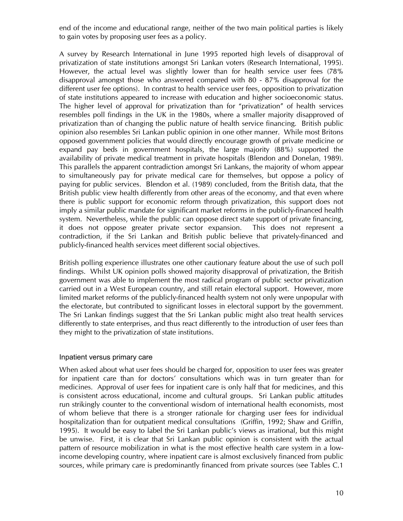end of the income and educational range, neither of the two main political parties is likely to gain votes by proposing user fees as a policy.

A survey by Research International in June 1995 reported high levels of disapproval of privatization of state institutions amongst Sri Lankan voters (Research International, 1995). However, the actual level was slightly lower than for health service user fees (78% disapproval amongst those who answered compared with 80 - 87% disapproval for the different user fee options). In contrast to health service user fees, opposition to privatization of state institutions appeared to increase with education and higher socioeconomic status. The higher level of approval for privatization than for "privatization" of health services resembles poll findings in the UK in the 1980s, where a smaller majority disapproved of privatization than of changing the public nature of health service financing. British public opinion also resembles Sri Lankan public opinion in one other manner. While most Britons opposed government policies that would directly encourage growth of private medicine or expand pay beds in government hospitals, the large majority (88%) supported the availability of private medical treatment in private hospitals (Blendon and Donelan, 1989). This parallels the apparent contradiction amongst Sri Lankans, the majority of whom appear to simultaneously pay for private medical care for themselves, but oppose a policy of paying for public services. Blendon et al. (1989) concluded, from the British data, that the British public view health differently from other areas of the economy, and that even where there is public support for economic reform through privatization, this support does not imply a similar public mandate for significant market reforms in the publicly-financed health system. Nevertheless, while the public can oppose direct state support of private financing, it does not oppose greater private sector expansion. This does not represent a contradiction, if the Sri Lankan and British public believe that privately-financed and publicly-financed health services meet different social objectives.

British polling experience illustrates one other cautionary feature about the use of such poll findings. Whilst UK opinion polls showed majority disapproval of privatization, the British government was able to implement the most radical program of public sector privatization carried out in a West European country, and still retain electoral support. However, more limited market reforms of the publicly-financed health system not only were unpopular with the electorate, but contributed to significant losses in electoral support by the government. The Sri Lankan findings suggest that the Sri Lankan public might also treat health services differently to state enterprises, and thus react differently to the introduction of user fees than they might to the privatization of state institutions.

## Inpatient versus primary care

When asked about what user fees should be charged for, opposition to user fees was greater for inpatient care than for doctors' consultations which was in turn greater than for medicines. Approval of user fees for inpatient care is only half that for medicines, and this is consistent across educational, income and cultural groups. Sri Lankan public attitudes run strikingly counter to the conventional wisdom of international health economists, most of whom believe that there is a stronger rationale for charging user fees for individual hospitalization than for outpatient medical consultations (Griffin, 1992; Shaw and Griffin, 1995). It would be easy to label the Sri Lankan public's views as irrational, but this might be unwise. First, it is clear that Sri Lankan public opinion is consistent with the actual pattern of resource mobilization in what is the most effective health care system in a lowincome developing country, where inpatient care is almost exclusively financed from public sources, while primary care is predominantly financed from private sources (see Tables C.1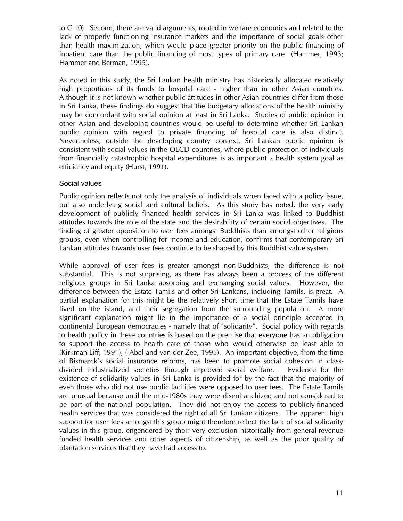to C.10). Second, there are valid arguments, rooted in welfare economics and related to the lack of properly functioning insurance markets and the importance of social goals other than health maximization, which would place greater priority on the public financing of inpatient care than the public financing of most types of primary care (Hammer, 1993; Hammer and Berman, 1995).

As noted in this study, the Sri Lankan health ministry has historically allocated relatively high proportions of its funds to hospital care - higher than in other Asian countries. Although it is not known whether public attitudes in other Asian countries differ from those in Sri Lanka, these findings do suggest that the budgetary allocations of the health ministry may be concordant with social opinion at least in Sri Lanka. Studies of public opinion in other Asian and developing countries would be useful to determine whether Sri Lankan public opinion with regard to private financing of hospital care is also distinct. Nevertheless, outside the developing country context, Sri Lankan public opinion is consistent with social values in the OECD countries, where public protection of individuals from financially catastrophic hospital expenditures is as important a health system goal as efficiency and equity (Hurst, 1991).

## Social values

Public opinion reflects not only the analysis of individuals when faced with a policy issue, but also underlying social and cultural beliefs. As this study has noted, the very early development of publicly financed health services in Sri Lanka was linked to Buddhist attitudes towards the role of the state and the desirability of certain social objectives. The finding of greater opposition to user fees amongst Buddhists than amongst other religious groups, even when controlling for income and education, confirms that contemporary Sri Lankan attitudes towards user fees continue to be shaped by this Buddhist value system.

While approval of user fees is greater amongst non-Buddhists, the difference is not substantial. This is not surprising, as there has always been a process of the different religious groups in Sri Lanka absorbing and exchanging social values. However, the difference between the Estate Tamils and other Sri Lankans, including Tamils, is great. A partial explanation for this might be the relatively short time that the Estate Tamils have lived on the island, and their segregation from the surrounding population. A more significant explanation might lie in the importance of a social principle accepted in continental European democracies - namely that of "solidarity". Social policy with regards to health policy in these countries is based on the premise that everyone has an obligation to support the access to health care of those who would otherwise be least able to (Kirkman-Liff, 1991), ( Abel and van der Zee, 1995). An important objective, from the time of Bismarck's social insurance reforms, has been to promote social cohesion in classdivided industrialized societies through improved social welfare. Evidence for the existence of solidarity values in Sri Lanka is provided for by the fact that the majority of even those who did not use public facilities were opposed to user fees. The Estate Tamils are unusual because until the mid-1980s they were disenfranchized and not considered to be part of the national population. They did not enjoy the access to publicly-financed health services that was considered the right of all Sri Lankan citizens. The apparent high support for user fees amongst this group might therefore reflect the lack of social solidarity values in this group, engendered by their very exclusion historically from general-revenue funded health services and other aspects of citizenship, as well as the poor quality of plantation services that they have had access to.